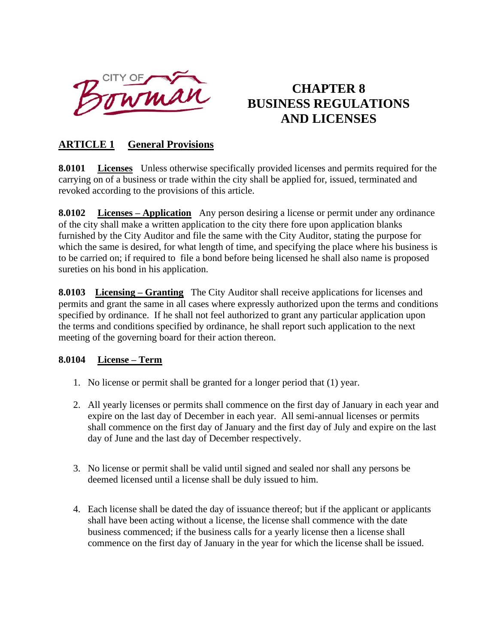

# **CHAPTER 8 BUSINESS REGULATIONS AND LICENSES**

## **ARTICLE 1 General Provisions**

**8.0101 Licenses** Unless otherwise specifically provided licenses and permits required for the carrying on of a business or trade within the city shall be applied for, issued, terminated and revoked according to the provisions of this article.

**8.0102 Licenses – Application** Any person desiring a license or permit under any ordinance of the city shall make a written application to the city there fore upon application blanks furnished by the City Auditor and file the same with the City Auditor, stating the purpose for which the same is desired, for what length of time, and specifying the place where his business is to be carried on; if required to file a bond before being licensed he shall also name is proposed sureties on his bond in his application.

**8.0103 Licensing – Granting** The City Auditor shall receive applications for licenses and permits and grant the same in all cases where expressly authorized upon the terms and conditions specified by ordinance. If he shall not feel authorized to grant any particular application upon the terms and conditions specified by ordinance, he shall report such application to the next meeting of the governing board for their action thereon.

#### **8.0104 License – Term**

- 1. No license or permit shall be granted for a longer period that (1) year.
- 2. All yearly licenses or permits shall commence on the first day of January in each year and expire on the last day of December in each year. All semi-annual licenses or permits shall commence on the first day of January and the first day of July and expire on the last day of June and the last day of December respectively.
- 3. No license or permit shall be valid until signed and sealed nor shall any persons be deemed licensed until a license shall be duly issued to him.
- 4. Each license shall be dated the day of issuance thereof; but if the applicant or applicants shall have been acting without a license, the license shall commence with the date business commenced; if the business calls for a yearly license then a license shall commence on the first day of January in the year for which the license shall be issued.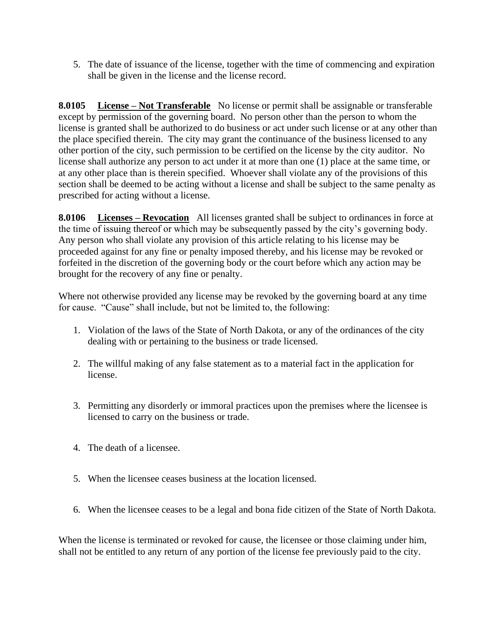5. The date of issuance of the license, together with the time of commencing and expiration shall be given in the license and the license record.

**8.0105 License – Not Transferable** No license or permit shall be assignable or transferable except by permission of the governing board. No person other than the person to whom the license is granted shall be authorized to do business or act under such license or at any other than the place specified therein. The city may grant the continuance of the business licensed to any other portion of the city, such permission to be certified on the license by the city auditor. No license shall authorize any person to act under it at more than one (1) place at the same time, or at any other place than is therein specified. Whoever shall violate any of the provisions of this section shall be deemed to be acting without a license and shall be subject to the same penalty as prescribed for acting without a license.

**8.0106 Licenses – Revocation** All licenses granted shall be subject to ordinances in force at the time of issuing thereof or which may be subsequently passed by the city's governing body. Any person who shall violate any provision of this article relating to his license may be proceeded against for any fine or penalty imposed thereby, and his license may be revoked or forfeited in the discretion of the governing body or the court before which any action may be brought for the recovery of any fine or penalty.

Where not otherwise provided any license may be revoked by the governing board at any time for cause. "Cause" shall include, but not be limited to, the following:

- 1. Violation of the laws of the State of North Dakota, or any of the ordinances of the city dealing with or pertaining to the business or trade licensed.
- 2. The willful making of any false statement as to a material fact in the application for license.
- 3. Permitting any disorderly or immoral practices upon the premises where the licensee is licensed to carry on the business or trade.
- 4. The death of a licensee.
- 5. When the licensee ceases business at the location licensed.
- 6. When the licensee ceases to be a legal and bona fide citizen of the State of North Dakota.

When the license is terminated or revoked for cause, the licensee or those claiming under him, shall not be entitled to any return of any portion of the license fee previously paid to the city.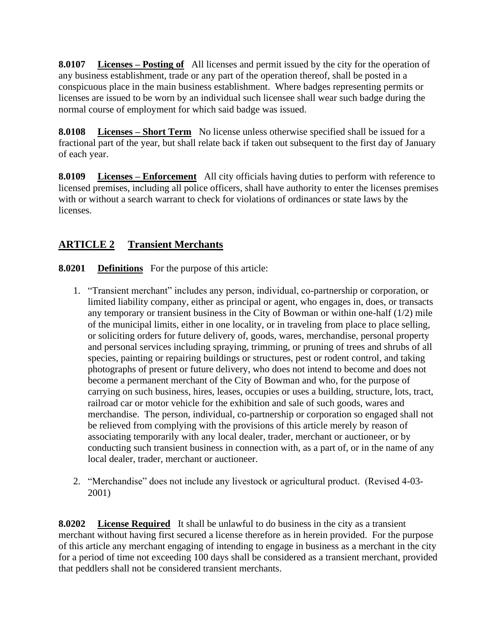**8.0107 Licenses – Posting of** All licenses and permit issued by the city for the operation of any business establishment, trade or any part of the operation thereof, shall be posted in a conspicuous place in the main business establishment. Where badges representing permits or licenses are issued to be worn by an individual such licensee shall wear such badge during the normal course of employment for which said badge was issued.

**8.0108 Licenses – Short Term** No license unless otherwise specified shall be issued for a fractional part of the year, but shall relate back if taken out subsequent to the first day of January of each year.

**8.0109** Licenses – **Enforcement** All city officials having duties to perform with reference to licensed premises, including all police officers, shall have authority to enter the licenses premises with or without a search warrant to check for violations of ordinances or state laws by the licenses.

## **ARTICLE 2 Transient Merchants**

**8.0201 Definitions** For the purpose of this article:

- 1. "Transient merchant" includes any person, individual, co-partnership or corporation, or limited liability company, either as principal or agent, who engages in, does, or transacts any temporary or transient business in the City of Bowman or within one-half (1/2) mile of the municipal limits, either in one locality, or in traveling from place to place selling, or soliciting orders for future delivery of, goods, wares, merchandise, personal property and personal services including spraying, trimming, or pruning of trees and shrubs of all species, painting or repairing buildings or structures, pest or rodent control, and taking photographs of present or future delivery, who does not intend to become and does not become a permanent merchant of the City of Bowman and who, for the purpose of carrying on such business, hires, leases, occupies or uses a building, structure, lots, tract, railroad car or motor vehicle for the exhibition and sale of such goods, wares and merchandise. The person, individual, co-partnership or corporation so engaged shall not be relieved from complying with the provisions of this article merely by reason of associating temporarily with any local dealer, trader, merchant or auctioneer, or by conducting such transient business in connection with, as a part of, or in the name of any local dealer, trader, merchant or auctioneer.
- 2. "Merchandise" does not include any livestock or agricultural product. (Revised 4-03- 2001)

**8.0202 License Required** It shall be unlawful to do business in the city as a transient merchant without having first secured a license therefore as in herein provided. For the purpose of this article any merchant engaging of intending to engage in business as a merchant in the city for a period of time not exceeding 100 days shall be considered as a transient merchant, provided that peddlers shall not be considered transient merchants.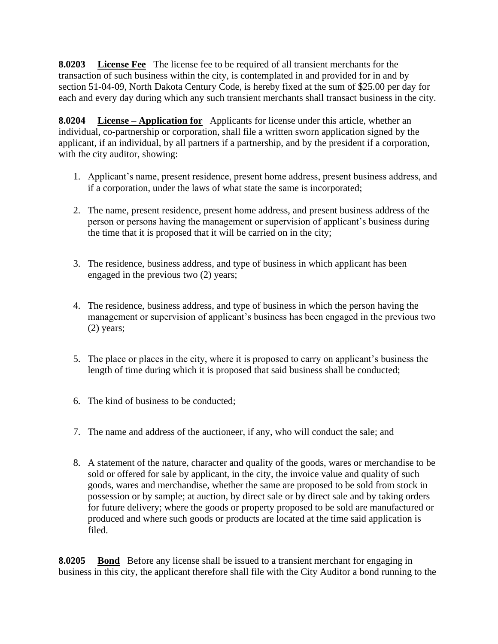**8.0203 License Fee** The license fee to be required of all transient merchants for the transaction of such business within the city, is contemplated in and provided for in and by section 51-04-09, North Dakota Century Code, is hereby fixed at the sum of \$25.00 per day for each and every day during which any such transient merchants shall transact business in the city.

**8.0204 License – Application for** Applicants for license under this article, whether an individual, co-partnership or corporation, shall file a written sworn application signed by the applicant, if an individual, by all partners if a partnership, and by the president if a corporation, with the city auditor, showing:

- 1. Applicant's name, present residence, present home address, present business address, and if a corporation, under the laws of what state the same is incorporated;
- 2. The name, present residence, present home address, and present business address of the person or persons having the management or supervision of applicant's business during the time that it is proposed that it will be carried on in the city;
- 3. The residence, business address, and type of business in which applicant has been engaged in the previous two (2) years;
- 4. The residence, business address, and type of business in which the person having the management or supervision of applicant's business has been engaged in the previous two (2) years;
- 5. The place or places in the city, where it is proposed to carry on applicant's business the length of time during which it is proposed that said business shall be conducted;
- 6. The kind of business to be conducted;
- 7. The name and address of the auctioneer, if any, who will conduct the sale; and
- 8. A statement of the nature, character and quality of the goods, wares or merchandise to be sold or offered for sale by applicant, in the city, the invoice value and quality of such goods, wares and merchandise, whether the same are proposed to be sold from stock in possession or by sample; at auction, by direct sale or by direct sale and by taking orders for future delivery; where the goods or property proposed to be sold are manufactured or produced and where such goods or products are located at the time said application is filed.

**8.0205 Bond** Before any license shall be issued to a transient merchant for engaging in business in this city, the applicant therefore shall file with the City Auditor a bond running to the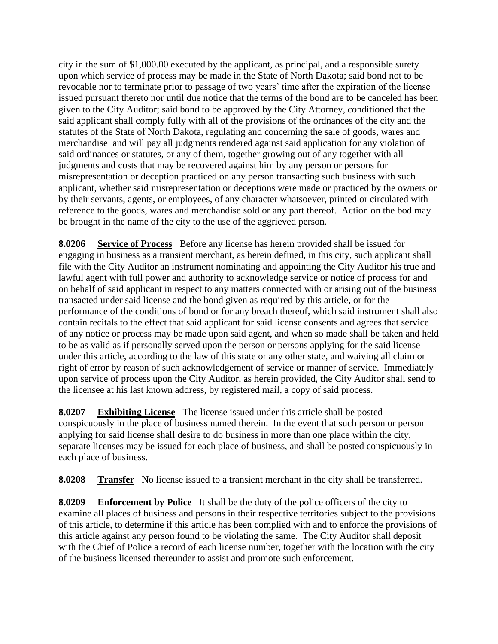city in the sum of \$1,000.00 executed by the applicant, as principal, and a responsible surety upon which service of process may be made in the State of North Dakota; said bond not to be revocable nor to terminate prior to passage of two years' time after the expiration of the license issued pursuant thereto nor until due notice that the terms of the bond are to be canceled has been given to the City Auditor; said bond to be approved by the City Attorney, conditioned that the said applicant shall comply fully with all of the provisions of the ordnances of the city and the statutes of the State of North Dakota, regulating and concerning the sale of goods, wares and merchandise and will pay all judgments rendered against said application for any violation of said ordinances or statutes, or any of them, together growing out of any together with all judgments and costs that may be recovered against him by any person or persons for misrepresentation or deception practiced on any person transacting such business with such applicant, whether said misrepresentation or deceptions were made or practiced by the owners or by their servants, agents, or employees, of any character whatsoever, printed or circulated with reference to the goods, wares and merchandise sold or any part thereof. Action on the bod may be brought in the name of the city to the use of the aggrieved person.

**8.0206 Service of Process** Before any license has herein provided shall be issued for engaging in business as a transient merchant, as herein defined, in this city, such applicant shall file with the City Auditor an instrument nominating and appointing the City Auditor his true and lawful agent with full power and authority to acknowledge service or notice of process for and on behalf of said applicant in respect to any matters connected with or arising out of the business transacted under said license and the bond given as required by this article, or for the performance of the conditions of bond or for any breach thereof, which said instrument shall also contain recitals to the effect that said applicant for said license consents and agrees that service of any notice or process may be made upon said agent, and when so made shall be taken and held to be as valid as if personally served upon the person or persons applying for the said license under this article, according to the law of this state or any other state, and waiving all claim or right of error by reason of such acknowledgement of service or manner of service. Immediately upon service of process upon the City Auditor, as herein provided, the City Auditor shall send to the licensee at his last known address, by registered mail, a copy of said process.

**8.0207 Exhibiting License** The license issued under this article shall be posted conspicuously in the place of business named therein. In the event that such person or person applying for said license shall desire to do business in more than one place within the city, separate licenses may be issued for each place of business, and shall be posted conspicuously in each place of business.

**8.0208** Transfer No license issued to a transient merchant in the city shall be transferred.

**8.0209 Enforcement by Police** It shall be the duty of the police officers of the city to examine all places of business and persons in their respective territories subject to the provisions of this article, to determine if this article has been complied with and to enforce the provisions of this article against any person found to be violating the same. The City Auditor shall deposit with the Chief of Police a record of each license number, together with the location with the city of the business licensed thereunder to assist and promote such enforcement.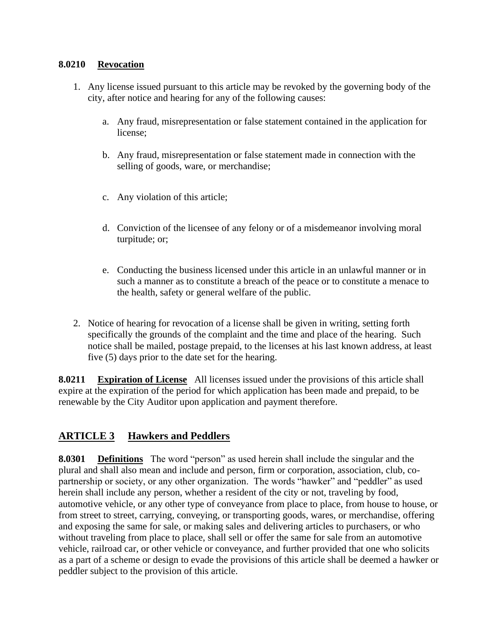#### **8.0210 Revocation**

- 1. Any license issued pursuant to this article may be revoked by the governing body of the city, after notice and hearing for any of the following causes:
	- a. Any fraud, misrepresentation or false statement contained in the application for license;
	- b. Any fraud, misrepresentation or false statement made in connection with the selling of goods, ware, or merchandise;
	- c. Any violation of this article;
	- d. Conviction of the licensee of any felony or of a misdemeanor involving moral turpitude; or;
	- e. Conducting the business licensed under this article in an unlawful manner or in such a manner as to constitute a breach of the peace or to constitute a menace to the health, safety or general welfare of the public.
- 2. Notice of hearing for revocation of a license shall be given in writing, setting forth specifically the grounds of the complaint and the time and place of the hearing. Such notice shall be mailed, postage prepaid, to the licenses at his last known address, at least five (5) days prior to the date set for the hearing.

**8.0211 Expiration of License** All licenses issued under the provisions of this article shall expire at the expiration of the period for which application has been made and prepaid, to be renewable by the City Auditor upon application and payment therefore.

## **ARTICLE 3 Hawkers and Peddlers**

**8.0301 Definitions** The word "person" as used herein shall include the singular and the plural and shall also mean and include and person, firm or corporation, association, club, copartnership or society, or any other organization. The words "hawker" and "peddler" as used herein shall include any person, whether a resident of the city or not, traveling by food, automotive vehicle, or any other type of conveyance from place to place, from house to house, or from street to street, carrying, conveying, or transporting goods, wares, or merchandise, offering and exposing the same for sale, or making sales and delivering articles to purchasers, or who without traveling from place to place, shall sell or offer the same for sale from an automotive vehicle, railroad car, or other vehicle or conveyance, and further provided that one who solicits as a part of a scheme or design to evade the provisions of this article shall be deemed a hawker or peddler subject to the provision of this article.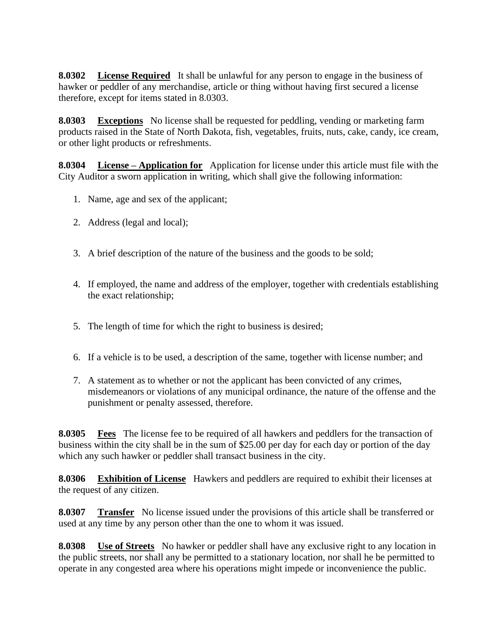**8.0302 License Required** It shall be unlawful for any person to engage in the business of hawker or peddler of any merchandise, article or thing without having first secured a license therefore, except for items stated in 8.0303.

**8.0303 Exceptions** No license shall be requested for peddling, vending or marketing farm products raised in the State of North Dakota, fish, vegetables, fruits, nuts, cake, candy, ice cream, or other light products or refreshments.

**8.0304 License – Application for** Application for license under this article must file with the City Auditor a sworn application in writing, which shall give the following information:

- 1. Name, age and sex of the applicant;
- 2. Address (legal and local);
- 3. A brief description of the nature of the business and the goods to be sold;
- 4. If employed, the name and address of the employer, together with credentials establishing the exact relationship;
- 5. The length of time for which the right to business is desired;
- 6. If a vehicle is to be used, a description of the same, together with license number; and
- 7. A statement as to whether or not the applicant has been convicted of any crimes, misdemeanors or violations of any municipal ordinance, the nature of the offense and the punishment or penalty assessed, therefore.

**8.0305 Fees** The license fee to be required of all hawkers and peddlers for the transaction of business within the city shall be in the sum of \$25.00 per day for each day or portion of the day which any such hawker or peddler shall transact business in the city.

**8.0306 Exhibition of License** Hawkers and peddlers are required to exhibit their licenses at the request of any citizen.

**8.0307 Transfer** No license issued under the provisions of this article shall be transferred or used at any time by any person other than the one to whom it was issued.

**8.0308 Use of Streets** No hawker or peddler shall have any exclusive right to any location in the public streets, nor shall any be permitted to a stationary location, nor shall he be permitted to operate in any congested area where his operations might impede or inconvenience the public.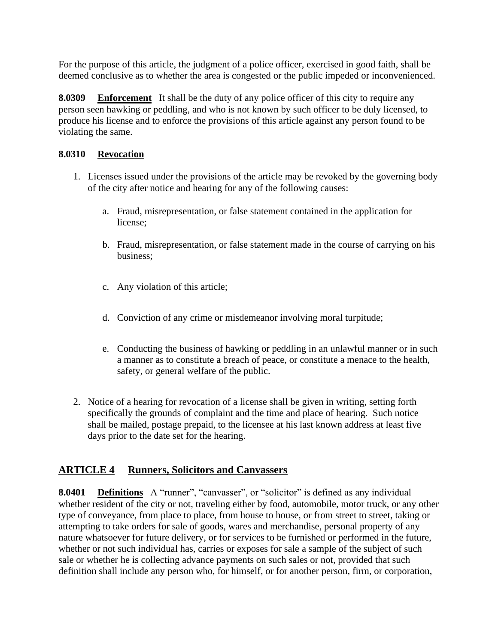For the purpose of this article, the judgment of a police officer, exercised in good faith, shall be deemed conclusive as to whether the area is congested or the public impeded or inconvenienced.

**8.0309 Enforcement** It shall be the duty of any police officer of this city to require any person seen hawking or peddling, and who is not known by such officer to be duly licensed, to produce his license and to enforce the provisions of this article against any person found to be violating the same.

#### **8.0310 Revocation**

- 1. Licenses issued under the provisions of the article may be revoked by the governing body of the city after notice and hearing for any of the following causes:
	- a. Fraud, misrepresentation, or false statement contained in the application for license;
	- b. Fraud, misrepresentation, or false statement made in the course of carrying on his business;
	- c. Any violation of this article;
	- d. Conviction of any crime or misdemeanor involving moral turpitude;
	- e. Conducting the business of hawking or peddling in an unlawful manner or in such a manner as to constitute a breach of peace, or constitute a menace to the health, safety, or general welfare of the public.
- 2. Notice of a hearing for revocation of a license shall be given in writing, setting forth specifically the grounds of complaint and the time and place of hearing. Such notice shall be mailed, postage prepaid, to the licensee at his last known address at least five days prior to the date set for the hearing.

## **ARTICLE 4 Runners, Solicitors and Canvassers**

**8.0401 Definitions** A "runner", "canvasser", or "solicitor" is defined as any individual whether resident of the city or not, traveling either by food, automobile, motor truck, or any other type of conveyance, from place to place, from house to house, or from street to street, taking or attempting to take orders for sale of goods, wares and merchandise, personal property of any nature whatsoever for future delivery, or for services to be furnished or performed in the future, whether or not such individual has, carries or exposes for sale a sample of the subject of such sale or whether he is collecting advance payments on such sales or not, provided that such definition shall include any person who, for himself, or for another person, firm, or corporation,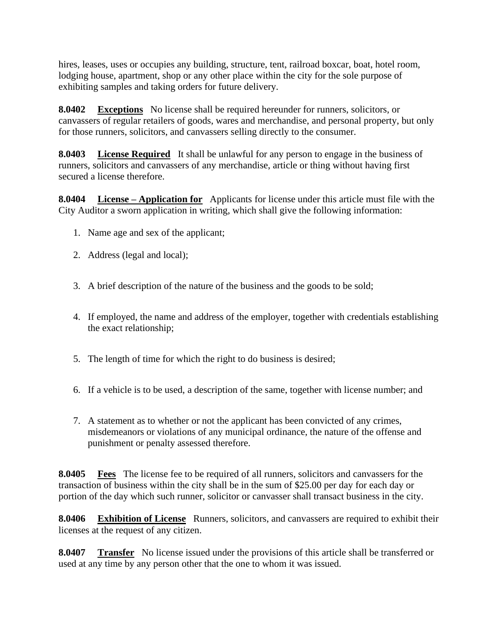hires, leases, uses or occupies any building, structure, tent, railroad boxcar, boat, hotel room, lodging house, apartment, shop or any other place within the city for the sole purpose of exhibiting samples and taking orders for future delivery.

**8.0402 Exceptions** No license shall be required hereunder for runners, solicitors, or canvassers of regular retailers of goods, wares and merchandise, and personal property, but only for those runners, solicitors, and canvassers selling directly to the consumer.

**8.0403 License Required** It shall be unlawful for any person to engage in the business of runners, solicitors and canvassers of any merchandise, article or thing without having first secured a license therefore.

**8.0404 License – Application for** Applicants for license under this article must file with the City Auditor a sworn application in writing, which shall give the following information:

- 1. Name age and sex of the applicant;
- 2. Address (legal and local);
- 3. A brief description of the nature of the business and the goods to be sold;
- 4. If employed, the name and address of the employer, together with credentials establishing the exact relationship;
- 5. The length of time for which the right to do business is desired;
- 6. If a vehicle is to be used, a description of the same, together with license number; and
- 7. A statement as to whether or not the applicant has been convicted of any crimes, misdemeanors or violations of any municipal ordinance, the nature of the offense and punishment or penalty assessed therefore.

**8.0405 Fees** The license fee to be required of all runners, solicitors and canvassers for the transaction of business within the city shall be in the sum of \$25.00 per day for each day or portion of the day which such runner, solicitor or canvasser shall transact business in the city.

**8.0406** Exhibition of License Runners, solicitors, and canvassers are required to exhibit their licenses at the request of any citizen.

**8.0407** Transfer No license issued under the provisions of this article shall be transferred or used at any time by any person other that the one to whom it was issued.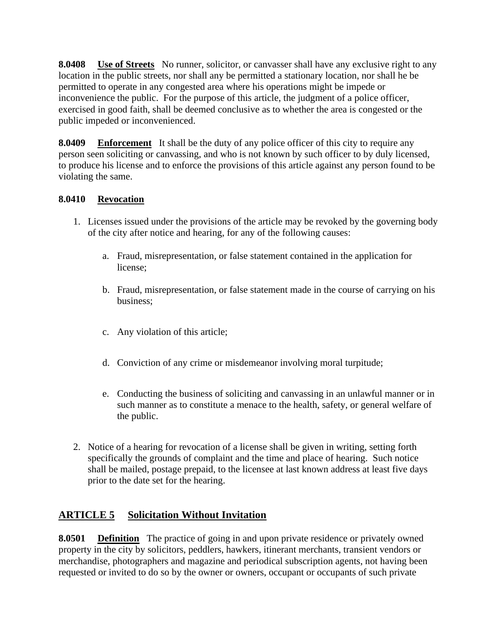**8.0408 Use of Streets** No runner, solicitor, or canvasser shall have any exclusive right to any location in the public streets, nor shall any be permitted a stationary location, nor shall he be permitted to operate in any congested area where his operations might be impede or inconvenience the public. For the purpose of this article, the judgment of a police officer, exercised in good faith, shall be deemed conclusive as to whether the area is congested or the public impeded or inconvenienced.

**8.0409** Enforcement It shall be the duty of any police officer of this city to require any person seen soliciting or canvassing, and who is not known by such officer to by duly licensed, to produce his license and to enforce the provisions of this article against any person found to be violating the same.

### **8.0410 Revocation**

- 1. Licenses issued under the provisions of the article may be revoked by the governing body of the city after notice and hearing, for any of the following causes:
	- a. Fraud, misrepresentation, or false statement contained in the application for license;
	- b. Fraud, misrepresentation, or false statement made in the course of carrying on his business;
	- c. Any violation of this article;
	- d. Conviction of any crime or misdemeanor involving moral turpitude;
	- e. Conducting the business of soliciting and canvassing in an unlawful manner or in such manner as to constitute a menace to the health, safety, or general welfare of the public.
- 2. Notice of a hearing for revocation of a license shall be given in writing, setting forth specifically the grounds of complaint and the time and place of hearing. Such notice shall be mailed, postage prepaid, to the licensee at last known address at least five days prior to the date set for the hearing.

## **ARTICLE 5 Solicitation Without Invitation**

**8.0501 Definition** The practice of going in and upon private residence or privately owned property in the city by solicitors, peddlers, hawkers, itinerant merchants, transient vendors or merchandise, photographers and magazine and periodical subscription agents, not having been requested or invited to do so by the owner or owners, occupant or occupants of such private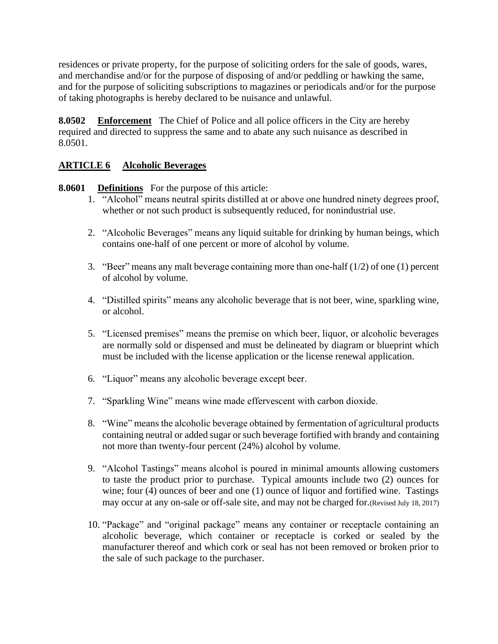residences or private property, for the purpose of soliciting orders for the sale of goods, wares, and merchandise and/or for the purpose of disposing of and/or peddling or hawking the same, and for the purpose of soliciting subscriptions to magazines or periodicals and/or for the purpose of taking photographs is hereby declared to be nuisance and unlawful.

**8.0502 Enforcement** The Chief of Police and all police officers in the City are hereby required and directed to suppress the same and to abate any such nuisance as described in 8.0501.

### **ARTICLE 6 Alcoholic Beverages**

**8.0601 Definitions** For the purpose of this article:

- 1. "Alcohol" means neutral spirits distilled at or above one hundred ninety degrees proof, whether or not such product is subsequently reduced, for nonindustrial use.
- 2. "Alcoholic Beverages" means any liquid suitable for drinking by human beings, which contains one-half of one percent or more of alcohol by volume.
- 3. "Beer" means any malt beverage containing more than one-half  $(1/2)$  of one  $(1)$  percent of alcohol by volume.
- 4. "Distilled spirits" means any alcoholic beverage that is not beer, wine, sparkling wine, or alcohol.
- 5. "Licensed premises" means the premise on which beer, liquor, or alcoholic beverages are normally sold or dispensed and must be delineated by diagram or blueprint which must be included with the license application or the license renewal application.
- 6. "Liquor" means any alcoholic beverage except beer.
- 7. "Sparkling Wine" means wine made effervescent with carbon dioxide.
- 8. "Wine" means the alcoholic beverage obtained by fermentation of agricultural products containing neutral or added sugar or such beverage fortified with brandy and containing not more than twenty-four percent (24%) alcohol by volume.
- 9. "Alcohol Tastings" means alcohol is poured in minimal amounts allowing customers to taste the product prior to purchase. Typical amounts include two (2) ounces for wine; four (4) ounces of beer and one (1) ounce of liquor and fortified wine. Tastings may occur at any on-sale or off-sale site, and may not be charged for.(Revised July 18, 2017)
- 10. "Package" and "original package" means any container or receptacle containing an alcoholic beverage, which container or receptacle is corked or sealed by the manufacturer thereof and which cork or seal has not been removed or broken prior to the sale of such package to the purchaser.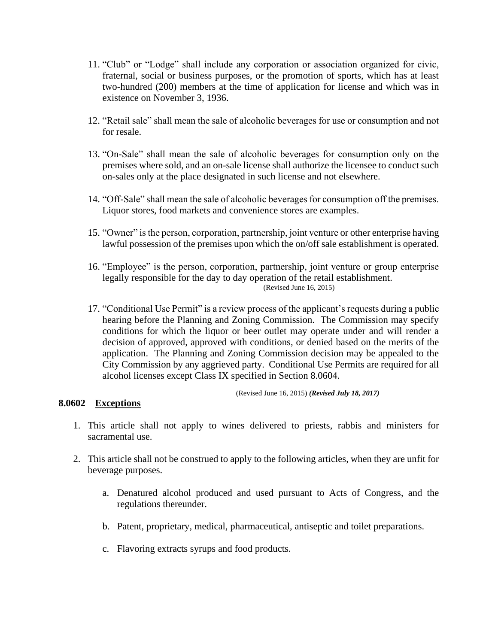- 11. "Club" or "Lodge" shall include any corporation or association organized for civic, fraternal, social or business purposes, or the promotion of sports, which has at least two-hundred (200) members at the time of application for license and which was in existence on November 3, 1936.
- 12. "Retail sale" shall mean the sale of alcoholic beverages for use or consumption and not for resale.
- 13. "On-Sale" shall mean the sale of alcoholic beverages for consumption only on the premises where sold, and an on-sale license shall authorize the licensee to conduct such on-sales only at the place designated in such license and not elsewhere.
- 14. "Off-Sale" shall mean the sale of alcoholic beverages for consumption off the premises. Liquor stores, food markets and convenience stores are examples.
- 15. "Owner" is the person, corporation, partnership, joint venture or other enterprise having lawful possession of the premises upon which the on/off sale establishment is operated.
- 16. "Employee" is the person, corporation, partnership, joint venture or group enterprise legally responsible for the day to day operation of the retail establishment. (Revised June 16, 2015)
- 17. "Conditional Use Permit" is a review process of the applicant's requests during a public hearing before the Planning and Zoning Commission. The Commission may specify conditions for which the liquor or beer outlet may operate under and will render a decision of approved, approved with conditions, or denied based on the merits of the application. The Planning and Zoning Commission decision may be appealed to the City Commission by any aggrieved party. Conditional Use Permits are required for all alcohol licenses except Class IX specified in Section 8.0604.

(Revised June 16, 2015) *(Revised July 18, 2017)*

#### **8.0602 Exceptions**

- 1. This article shall not apply to wines delivered to priests, rabbis and ministers for sacramental use.
- 2. This article shall not be construed to apply to the following articles, when they are unfit for beverage purposes.
	- a. Denatured alcohol produced and used pursuant to Acts of Congress, and the regulations thereunder.
	- b. Patent, proprietary, medical, pharmaceutical, antiseptic and toilet preparations.
	- c. Flavoring extracts syrups and food products.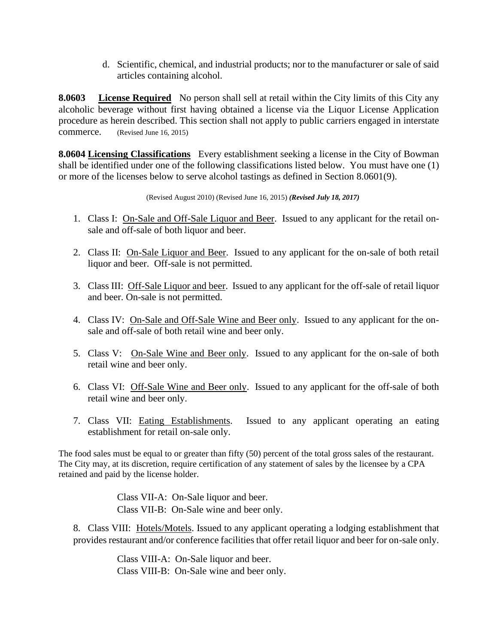d. Scientific, chemical, and industrial products; nor to the manufacturer or sale of said articles containing alcohol.

**8.0603** License Required No person shall sell at retail within the City limits of this City any alcoholic beverage without first having obtained a license via the Liquor License Application procedure as herein described. This section shall not apply to public carriers engaged in interstate commerce. (Revised June 16, 2015)

**8.0604 Licensing Classifications** Every establishment seeking a license in the City of Bowman shall be identified under one of the following classifications listed below. You must have one (1) or more of the licenses below to serve alcohol tastings as defined in Section 8.0601(9).

(Revised August 2010) (Revised June 16, 2015) *(Revised July 18, 2017)*

- 1. Class I: On-Sale and Off-Sale Liquor and Beer. Issued to any applicant for the retail onsale and off-sale of both liquor and beer.
- 2. Class II: On-Sale Liquor and Beer. Issued to any applicant for the on-sale of both retail liquor and beer. Off-sale is not permitted.
- 3. Class III: Off-Sale Liquor and beer. Issued to any applicant for the off-sale of retail liquor and beer. On-sale is not permitted.
- 4. Class IV: On-Sale and Off-Sale Wine and Beer only. Issued to any applicant for the onsale and off-sale of both retail wine and beer only.
- 5. Class V: On-Sale Wine and Beer only. Issued to any applicant for the on-sale of both retail wine and beer only.
- 6. Class VI: Off-Sale Wine and Beer only. Issued to any applicant for the off-sale of both retail wine and beer only.
- 7. Class VII: Eating Establishments. Issued to any applicant operating an eating establishment for retail on-sale only.

The food sales must be equal to or greater than fifty (50) percent of the total gross sales of the restaurant. The City may, at its discretion, require certification of any statement of sales by the licensee by a CPA retained and paid by the license holder.

> Class VII-A: On-Sale liquor and beer. Class VII-B: On-Sale wine and beer only.

8. Class VIII: Hotels/Motels. Issued to any applicant operating a lodging establishment that provides restaurant and/or conference facilities that offer retail liquor and beer for on-sale only.

> Class VIII-A: On-Sale liquor and beer. Class VIII-B: On-Sale wine and beer only.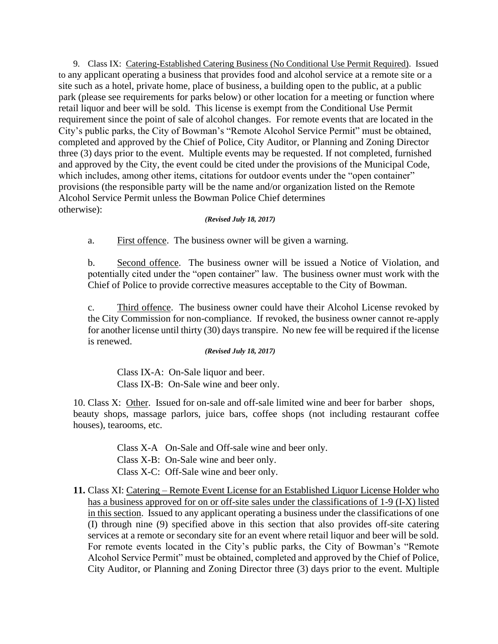9. Class IX: Catering-Established Catering Business (No Conditional Use Permit Required). Issued to any applicant operating a business that provides food and alcohol service at a remote site or a site such as a hotel, private home, place of business, a building open to the public, at a public park (please see requirements for parks below) or other location for a meeting or function where retail liquor and beer will be sold. This license is exempt from the Conditional Use Permit requirement since the point of sale of alcohol changes. For remote events that are located in the City's public parks, the City of Bowman's "Remote Alcohol Service Permit" must be obtained, completed and approved by the Chief of Police, City Auditor, or Planning and Zoning Director three (3) days prior to the event. Multiple events may be requested. If not completed, furnished and approved by the City, the event could be cited under the provisions of the Municipal Code, which includes, among other items, citations for outdoor events under the "open container" provisions (the responsible party will be the name and/or organization listed on the Remote Alcohol Service Permit unless the Bowman Police Chief determines otherwise):

#### *(Revised July 18, 2017)*

a. First offence. The business owner will be given a warning.

b. Second offence. The business owner will be issued a Notice of Violation, and potentially cited under the "open container" law. The business owner must work with the Chief of Police to provide corrective measures acceptable to the City of Bowman.

c. Third offence. The business owner could have their Alcohol License revoked by the City Commission for non-compliance. If revoked, the business owner cannot re-apply for another license until thirty (30) days transpire. No new fee will be required if the license is renewed.

*(Revised July 18, 2017)*

Class IX-A: On-Sale liquor and beer. Class IX-B: On-Sale wine and beer only.

10. Class X: Other. Issued for on-sale and off-sale limited wine and beer for barber shops, beauty shops, massage parlors, juice bars, coffee shops (not including restaurant coffee houses), tearooms, etc.

> Class X-A On-Sale and Off-sale wine and beer only. Class X-B: On-Sale wine and beer only. Class X-C: Off-Sale wine and beer only.

**11.** Class XI: Catering – Remote Event License for an Established Liquor License Holder who has a business approved for on or off-site sales under the classifications of 1-9 (I-X) listed in this section. Issued to any applicant operating a business under the classifications of one (I) through nine (9) specified above in this section that also provides off-site catering services at a remote or secondary site for an event where retail liquor and beer will be sold. For remote events located in the City's public parks, the City of Bowman's "Remote Alcohol Service Permit" must be obtained, completed and approved by the Chief of Police, City Auditor, or Planning and Zoning Director three (3) days prior to the event. Multiple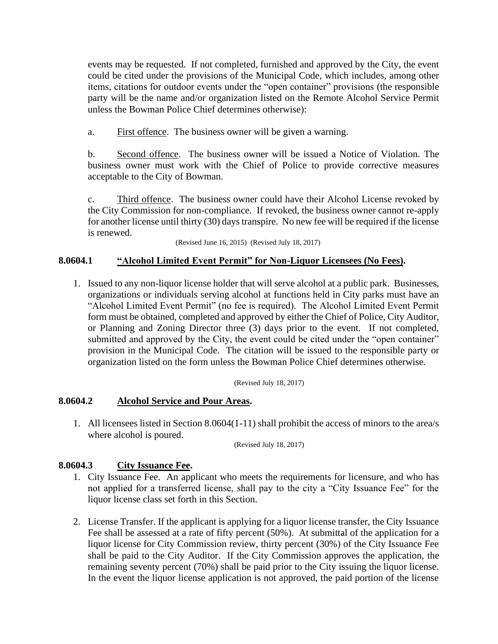events may be requested. If not completed, furnished and approved by the City, the event could be cited under the provisions of the Municipal Code, which includes, among other items, citations for outdoor events under the "open container" provisions (the responsible party will be the name and/or organization listed on the Remote Alcohol Service Permit unless the Bowman Police Chief determines otherwise):

a. First offence. The business owner will be given a warning.

b. Second offence. The business owner will be issued a Notice of Violation. The business owner must work with the Chief of Police to provide corrective measures acceptable to the City of Bowman.

c. Third offence. The business owner could have their Alcohol License revoked by the City Commission for non-compliance. If revoked, the business owner cannot re-apply for another license until thirty (30) days transpire. No new fee will be required if the license is renewed.

(Revised June 16, 2015) (Revised July 18, 2017)

### **8.0604.1 "Alcohol Limited Event Permit" for Non-Liquor Licensees (No Fees).**

1. Issued to any non-liquor license holder that will serve alcohol at a public park. Businesses, organizations or individuals serving alcohol at functions held in City parks must have an "Alcohol Limited Event Permit" (no fee is required). The Alcohol Limited Event Permit form must be obtained, completed and approved by either the Chief of Police, City Auditor, or Planning and Zoning Director three (3) days prior to the event. If not completed, submitted and approved by the City, the event could be cited under the "open container" provision in the Municipal Code. The citation will be issued to the responsible party or organization listed on the form unless the Bowman Police Chief determines otherwise.

(Revised July 18, 2017)

#### **8.0604.2 Alcohol Service and Pour Areas.**

1. All licensees listed in Section 8.0604(1-11) shall prohibit the access of minors to the area/s where alcohol is poured.

(Revised July 18, 2017)

#### **8.0604.3 City Issuance Fee.**

- 1. City Issuance Fee. An applicant who meets the requirements for licensure, and who has not applied for a transferred license, shall pay to the city a "City Issuance Fee" for the liquor license class set forth in this Section.
- 2. License Transfer. If the applicant is applying for a liquor license transfer, the City Issuance Fee shall be assessed at a rate of fifty percent (50%). At submittal of the application for a liquor license for City Commission review, thirty percent (30%) of the City Issuance Fee shall be paid to the City Auditor. If the City Commission approves the application, the remaining seventy percent (70%) shall be paid prior to the City issuing the liquor license. In the event the liquor license application is not approved, the paid portion of the license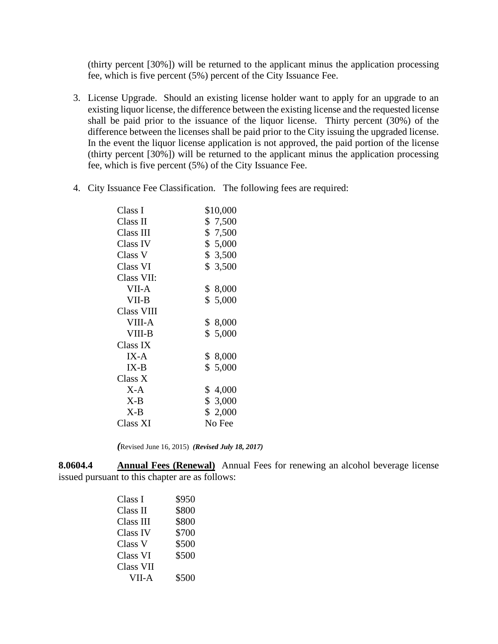(thirty percent [30%]) will be returned to the applicant minus the application processing fee, which is five percent (5%) percent of the City Issuance Fee.

- 3. License Upgrade. Should an existing license holder want to apply for an upgrade to an existing liquor license, the difference between the existing license and the requested license shall be paid prior to the issuance of the liquor license. Thirty percent (30%) of the difference between the licenses shall be paid prior to the City issuing the upgraded license. In the event the liquor license application is not approved, the paid portion of the license (thirty percent [30%]) will be returned to the applicant minus the application processing fee, which is five percent (5%) of the City Issuance Fee.
- 4. City Issuance Fee Classification. The following fees are required:

| Class I       | \$10,000 |
|---------------|----------|
| Class II      | \$7,500  |
| Class III     | \$7,500  |
| Class IV      | \$ 5,000 |
| Class V       | \$ 3,500 |
| Class VI      | \$ 3,500 |
| Class VII:    |          |
| VII-A         | \$ 8,000 |
| VII-B         | \$ 5,000 |
| Class VIII    |          |
| <b>VIII-A</b> | \$ 8,000 |
| VIII-B        | \$ 5,000 |
| Class IX      |          |
| $IX-A$        | \$ 8,000 |
| $IX-B$        | \$5,000  |
| Class X       |          |
| $X-A$         | \$4,000  |
| $X-B$         | \$ 3,000 |
| $X-B$         | \$ 2,000 |
| Class XI      | No Fee   |

*(*Revised June 16, 2015) *(Revised July 18, 2017)*

**8.0604.4 Annual Fees (Renewal)** Annual Fees for renewing an alcohol beverage license issued pursuant to this chapter are as follows:

| Class I   | \$950 |
|-----------|-------|
| Class II  | \$800 |
| Class III | \$800 |
| Class IV  | \$700 |
| Class V   | \$500 |
| Class VI  | \$500 |
| Class VII |       |
| VII-A     | \$500 |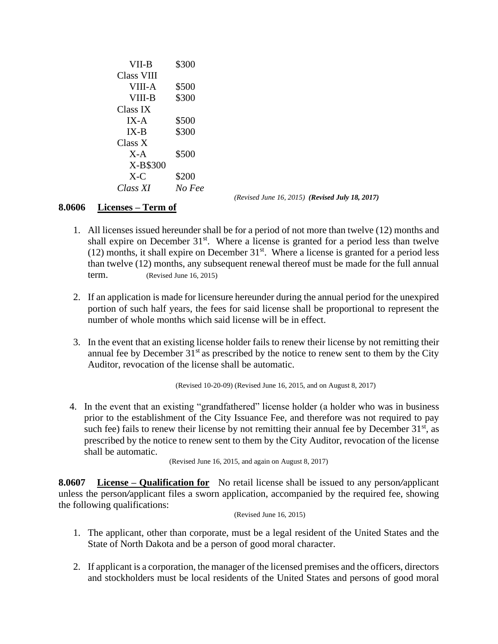VII-B \$300 Class VIII VIII-A \$500 VIII-B \$300 Class IX IX-A \$500 IX-B \$300 Class X X-A \$500 X-B\$300  $X-C$  \$200 *Class XI No Fee*

*(Revised June 16, 2015) (Revised July 18, 2017)*

#### **8.0606 Licenses – Term of**

- 1. All licenses issued hereunder shall be for a period of not more than twelve (12) months and shall expire on December  $31<sup>st</sup>$ . Where a license is granted for a period less than twelve (12) months, it shall expire on December  $31<sup>st</sup>$ . Where a license is granted for a period less than twelve (12) months, any subsequent renewal thereof must be made for the full annual term. (Revised June 16, 2015)
- 2. If an application is made for licensure hereunder during the annual period for the unexpired portion of such half years, the fees for said license shall be proportional to represent the number of whole months which said license will be in effect.
- 3. In the event that an existing license holder fails to renew their license by not remitting their annual fee by December  $31<sup>st</sup>$  as prescribed by the notice to renew sent to them by the City Auditor, revocation of the license shall be automatic.

(Revised 10-20-09) (Revised June 16, 2015, and on August 8, 2017)

4. In the event that an existing "grandfathered" license holder (a holder who was in business prior to the establishment of the City Issuance Fee, and therefore was not required to pay such fee) fails to renew their license by not remitting their annual fee by December  $31<sup>st</sup>$ , as prescribed by the notice to renew sent to them by the City Auditor, revocation of the license shall be automatic.

(Revised June 16, 2015, and again on August 8, 2017)

**8.0607 License – Qualification for** No retail license shall be issued to any person*/*applicant unless the person*/*applicant files a sworn application, accompanied by the required fee, showing the following qualifications:

(Revised June 16, 2015)

- 1. The applicant, other than corporate, must be a legal resident of the United States and the State of North Dakota and be a person of good moral character.
- 2. If applicant is a corporation, the manager of the licensed premises and the officers, directors and stockholders must be local residents of the United States and persons of good moral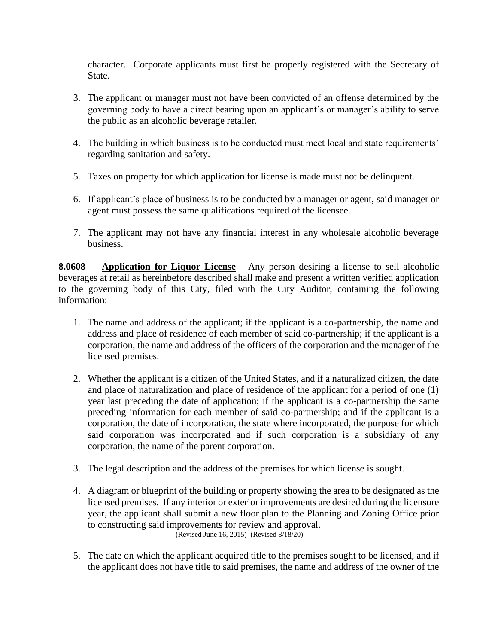character. Corporate applicants must first be properly registered with the Secretary of State.

- 3. The applicant or manager must not have been convicted of an offense determined by the governing body to have a direct bearing upon an applicant's or manager's ability to serve the public as an alcoholic beverage retailer.
- 4. The building in which business is to be conducted must meet local and state requirements' regarding sanitation and safety.
- 5. Taxes on property for which application for license is made must not be delinquent.
- 6. If applicant's place of business is to be conducted by a manager or agent, said manager or agent must possess the same qualifications required of the licensee.
- 7. The applicant may not have any financial interest in any wholesale alcoholic beverage business.

**8.0608 Application for Liquor License** Any person desiring a license to sell alcoholic beverages at retail as hereinbefore described shall make and present a written verified application to the governing body of this City, filed with the City Auditor, containing the following information:

- 1. The name and address of the applicant; if the applicant is a co-partnership, the name and address and place of residence of each member of said co-partnership; if the applicant is a corporation, the name and address of the officers of the corporation and the manager of the licensed premises.
- 2. Whether the applicant is a citizen of the United States, and if a naturalized citizen, the date and place of naturalization and place of residence of the applicant for a period of one (1) year last preceding the date of application; if the applicant is a co-partnership the same preceding information for each member of said co-partnership; and if the applicant is a corporation, the date of incorporation, the state where incorporated, the purpose for which said corporation was incorporated and if such corporation is a subsidiary of any corporation, the name of the parent corporation.
- 3. The legal description and the address of the premises for which license is sought.
- 4. A diagram or blueprint of the building or property showing the area to be designated as the licensed premises. If any interior or exterior improvements are desired during the licensure year, the applicant shall submit a new floor plan to the Planning and Zoning Office prior to constructing said improvements for review and approval. (Revised June 16, 2015) (Revised 8/18/20)
- 5. The date on which the applicant acquired title to the premises sought to be licensed, and if the applicant does not have title to said premises, the name and address of the owner of the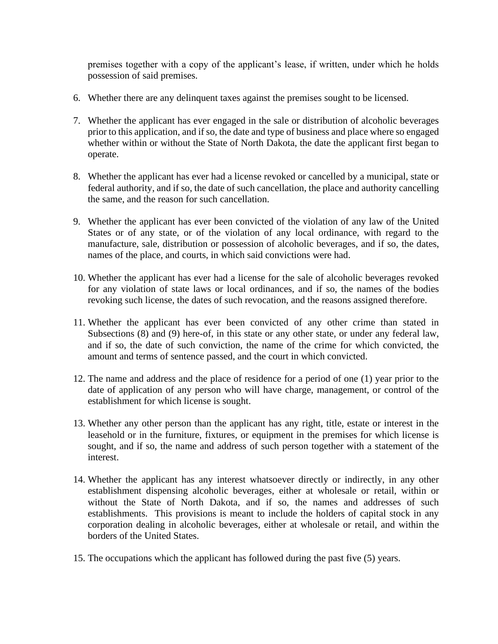premises together with a copy of the applicant's lease, if written, under which he holds possession of said premises.

- 6. Whether there are any delinquent taxes against the premises sought to be licensed.
- 7. Whether the applicant has ever engaged in the sale or distribution of alcoholic beverages prior to this application, and if so, the date and type of business and place where so engaged whether within or without the State of North Dakota, the date the applicant first began to operate.
- 8. Whether the applicant has ever had a license revoked or cancelled by a municipal, state or federal authority, and if so, the date of such cancellation, the place and authority cancelling the same, and the reason for such cancellation.
- 9. Whether the applicant has ever been convicted of the violation of any law of the United States or of any state, or of the violation of any local ordinance, with regard to the manufacture, sale, distribution or possession of alcoholic beverages, and if so, the dates, names of the place, and courts, in which said convictions were had.
- 10. Whether the applicant has ever had a license for the sale of alcoholic beverages revoked for any violation of state laws or local ordinances, and if so, the names of the bodies revoking such license, the dates of such revocation, and the reasons assigned therefore.
- 11. Whether the applicant has ever been convicted of any other crime than stated in Subsections (8) and (9) here-of, in this state or any other state, or under any federal law, and if so, the date of such conviction, the name of the crime for which convicted, the amount and terms of sentence passed, and the court in which convicted.
- 12. The name and address and the place of residence for a period of one (1) year prior to the date of application of any person who will have charge, management, or control of the establishment for which license is sought.
- 13. Whether any other person than the applicant has any right, title, estate or interest in the leasehold or in the furniture, fixtures, or equipment in the premises for which license is sought, and if so, the name and address of such person together with a statement of the interest.
- 14. Whether the applicant has any interest whatsoever directly or indirectly, in any other establishment dispensing alcoholic beverages, either at wholesale or retail, within or without the State of North Dakota, and if so, the names and addresses of such establishments. This provisions is meant to include the holders of capital stock in any corporation dealing in alcoholic beverages, either at wholesale or retail, and within the borders of the United States.
- 15. The occupations which the applicant has followed during the past five (5) years.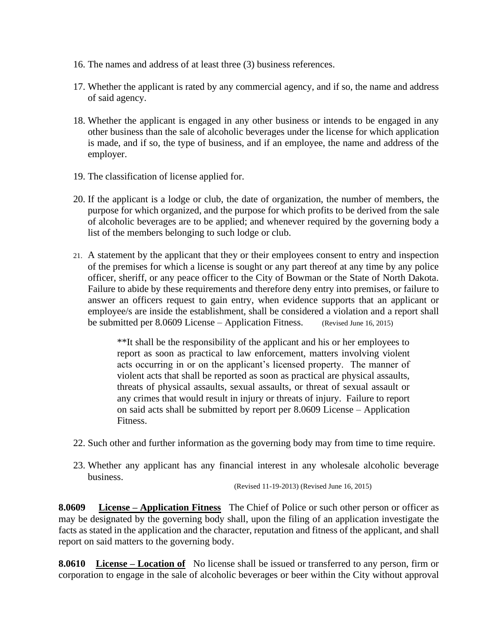- 16. The names and address of at least three (3) business references.
- 17. Whether the applicant is rated by any commercial agency, and if so, the name and address of said agency.
- 18. Whether the applicant is engaged in any other business or intends to be engaged in any other business than the sale of alcoholic beverages under the license for which application is made, and if so, the type of business, and if an employee, the name and address of the employer.
- 19. The classification of license applied for.
- 20. If the applicant is a lodge or club, the date of organization, the number of members, the purpose for which organized, and the purpose for which profits to be derived from the sale of alcoholic beverages are to be applied; and whenever required by the governing body a list of the members belonging to such lodge or club.
- 21. A statement by the applicant that they or their employees consent to entry and inspection of the premises for which a license is sought or any part thereof at any time by any police officer, sheriff, or any peace officer to the City of Bowman or the State of North Dakota. Failure to abide by these requirements and therefore deny entry into premises, or failure to answer an officers request to gain entry, when evidence supports that an applicant or employee/s are inside the establishment, shall be considered a violation and a report shall be submitted per 8.0609 License – Application Fitness. (Revised June 16, 2015)

\*\*It shall be the responsibility of the applicant and his or her employees to report as soon as practical to law enforcement, matters involving violent acts occurring in or on the applicant's licensed property. The manner of violent acts that shall be reported as soon as practical are physical assaults, threats of physical assaults, sexual assaults, or threat of sexual assault or any crimes that would result in injury or threats of injury. Failure to report on said acts shall be submitted by report per 8.0609 License – Application Fitness.

- 22. Such other and further information as the governing body may from time to time require.
- 23. Whether any applicant has any financial interest in any wholesale alcoholic beverage business.

(Revised 11-19-2013) (Revised June 16, 2015)

**8.0609 License – Application Fitness** The Chief of Police or such other person or officer as may be designated by the governing body shall, upon the filing of an application investigate the facts as stated in the application and the character, reputation and fitness of the applicant, and shall report on said matters to the governing body.

**8.0610 License – Location of** No license shall be issued or transferred to any person, firm or corporation to engage in the sale of alcoholic beverages or beer within the City without approval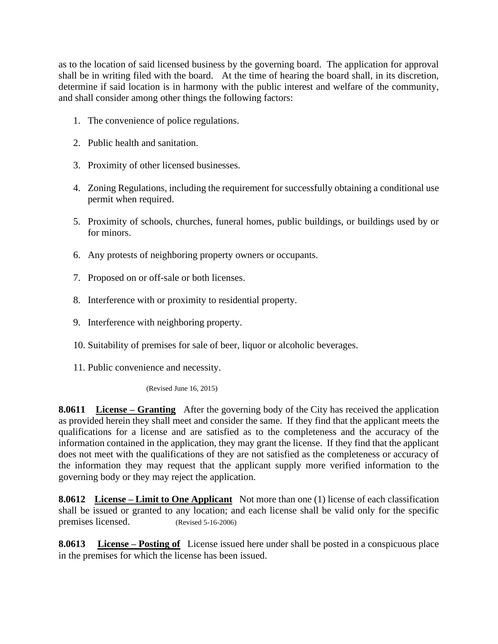as to the location of said licensed business by the governing board. The application for approval shall be in writing filed with the board. At the time of hearing the board shall, in its discretion, determine if said location is in harmony with the public interest and welfare of the community, and shall consider among other things the following factors:

- 1. The convenience of police regulations.
- 2. Public health and sanitation.
- 3. Proximity of other licensed businesses.
- 4. Zoning Regulations, including the requirement for successfully obtaining a conditional use permit when required.
- 5. Proximity of schools, churches, funeral homes, public buildings, or buildings used by or for minors.
- 6. Any protests of neighboring property owners or occupants.
- 7. Proposed on or off-sale or both licenses.
- 8. Interference with or proximity to residential property.
- 9. Interference with neighboring property.
- 10. Suitability of premises for sale of beer, liquor or alcoholic beverages.
- 11. Public convenience and necessity.

(Revised June 16, 2015)

**8.0611 License – Granting** After the governing body of the City has received the application as provided herein they shall meet and consider the same. If they find that the applicant meets the qualifications for a license and are satisfied as to the completeness and the accuracy of the information contained in the application, they may grant the license. If they find that the applicant does not meet with the qualifications of they are not satisfied as the completeness or accuracy of the information they may request that the applicant supply more verified information to the governing body or they may reject the application.

**8.0612 License – Limit to One Applicant** Not more than one (1) license of each classification shall be issued or granted to any location; and each license shall be valid only for the specific premises licensed. (Revised 5-16-2006)

**8.0613 License – Posting of** License issued here under shall be posted in a conspicuous place in the premises for which the license has been issued.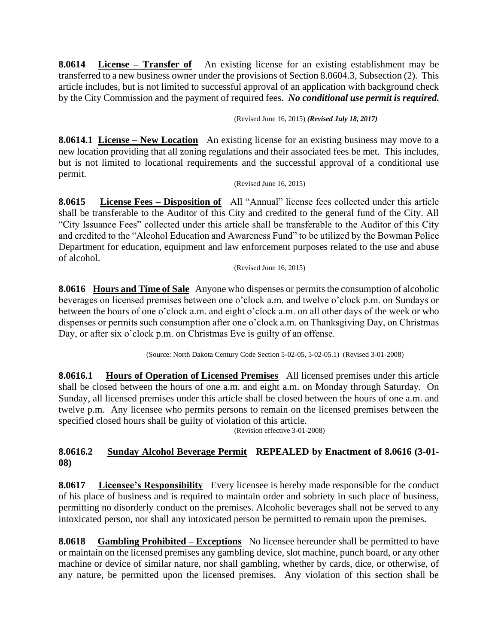**8.0614 License – Transfer of** An existing license for an existing establishment may be transferred to a new business owner under the provisions of Section 8.0604.3, Subsection (2). This article includes, but is not limited to successful approval of an application with background check by the City Commission and the payment of required fees. *No conditional use permit is required.*

(Revised June 16, 2015) *(Revised July 18, 2017)*

**8.0614.1 License – New Location** An existing license for an existing business may move to a new location providing that all zoning regulations and their associated fees be met. This includes, but is not limited to locational requirements and the successful approval of a conditional use permit.

(Revised June 16, 2015)

**8.0615 License Fees – Disposition of** All "Annual" license fees collected under this article shall be transferable to the Auditor of this City and credited to the general fund of the City. All "City Issuance Fees" collected under this article shall be transferable to the Auditor of this City and credited to the "Alcohol Education and Awareness Fund" to be utilized by the Bowman Police Department for education, equipment and law enforcement purposes related to the use and abuse of alcohol.

(Revised June 16, 2015)

**8.0616 Hours and Time of Sale** Anyone who dispenses or permits the consumption of alcoholic beverages on licensed premises between one o'clock a.m. and twelve o'clock p.m. on Sundays or between the hours of one o'clock a.m. and eight o'clock a.m. on all other days of the week or who dispenses or permits such consumption after one o'clock a.m. on Thanksgiving Day, on Christmas Day, or after six o'clock p.m. on Christmas Eve is guilty of an offense.

(Source: North Dakota Century Code Section 5-02-05, 5-02-05.1) (Revised 3-01-2008)

**8.0616.1 Hours of Operation of Licensed Premises** All licensed premises under this article shall be closed between the hours of one a.m. and eight a.m. on Monday through Saturday. On Sunday, all licensed premises under this article shall be closed between the hours of one a.m. and twelve p.m. Any licensee who permits persons to remain on the licensed premises between the specified closed hours shall be guilty of violation of this article.

(Revision effective 3-01-2008)

## **8.0616.2 Sunday Alcohol Beverage Permit REPEALED by Enactment of 8.0616 (3-01- 08)**

**8.0617 Licensee's Responsibility** Every licensee is hereby made responsible for the conduct of his place of business and is required to maintain order and sobriety in such place of business, permitting no disorderly conduct on the premises. Alcoholic beverages shall not be served to any intoxicated person, nor shall any intoxicated person be permitted to remain upon the premises.

**8.0618 Gambling Prohibited – Exceptions** No licensee hereunder shall be permitted to have or maintain on the licensed premises any gambling device, slot machine, punch board, or any other machine or device of similar nature, nor shall gambling, whether by cards, dice, or otherwise, of any nature, be permitted upon the licensed premises. Any violation of this section shall be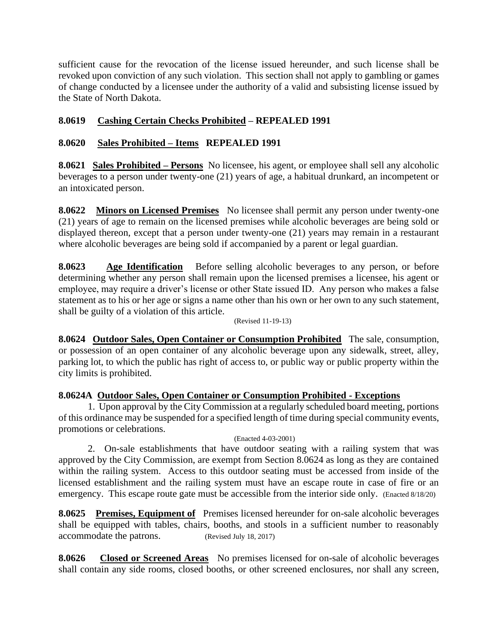sufficient cause for the revocation of the license issued hereunder, and such license shall be revoked upon conviction of any such violation. This section shall not apply to gambling or games of change conducted by a licensee under the authority of a valid and subsisting license issued by the State of North Dakota.

## **8.0619 Cashing Certain Checks Prohibited – REPEALED 1991**

### **8.0620 Sales Prohibited – Items REPEALED 1991**

**8.0621 Sales Prohibited – Persons** No licensee, his agent, or employee shall sell any alcoholic beverages to a person under twenty-one (21) years of age, a habitual drunkard, an incompetent or an intoxicated person.

**8.0622 Minors on Licensed Premises** No licensee shall permit any person under twenty-one (21) years of age to remain on the licensed premises while alcoholic beverages are being sold or displayed thereon, except that a person under twenty-one (21) years may remain in a restaurant where alcoholic beverages are being sold if accompanied by a parent or legal guardian.

**8.0623 Age Identification** Before selling alcoholic beverages to any person, or before determining whether any person shall remain upon the licensed premises a licensee, his agent or employee, may require a driver's license or other State issued ID. Any person who makes a false statement as to his or her age or signs a name other than his own or her own to any such statement, shall be guilty of a violation of this article.

(Revised 11-19-13)

**8.0624 Outdoor Sales, Open Container or Consumption Prohibited** The sale, consumption, or possession of an open container of any alcoholic beverage upon any sidewalk, street, alley, parking lot, to which the public has right of access to, or public way or public property within the city limits is prohibited.

#### **8.0624A Outdoor Sales, Open Container or Consumption Prohibited - Exceptions**

1. Upon approval by the City Commission at a regularly scheduled board meeting, portions of this ordinance may be suspended for a specified length of time during special community events, promotions or celebrations.

(Enacted 4-03-2001)

2. On-sale establishments that have outdoor seating with a railing system that was approved by the City Commission, are exempt from Section 8.0624 as long as they are contained within the railing system. Access to this outdoor seating must be accessed from inside of the licensed establishment and the railing system must have an escape route in case of fire or an emergency. This escape route gate must be accessible from the interior side only. (Enacted 8/18/20)

**8.0625 Premises, Equipment of** Premises licensed hereunder for on-sale alcoholic beverages shall be equipped with tables, chairs, booths, and stools in a sufficient number to reasonably accommodate the patrons. (Revised July 18, 2017)

**8.0626 Closed or Screened Areas** No premises licensed for on-sale of alcoholic beverages shall contain any side rooms, closed booths, or other screened enclosures, nor shall any screen,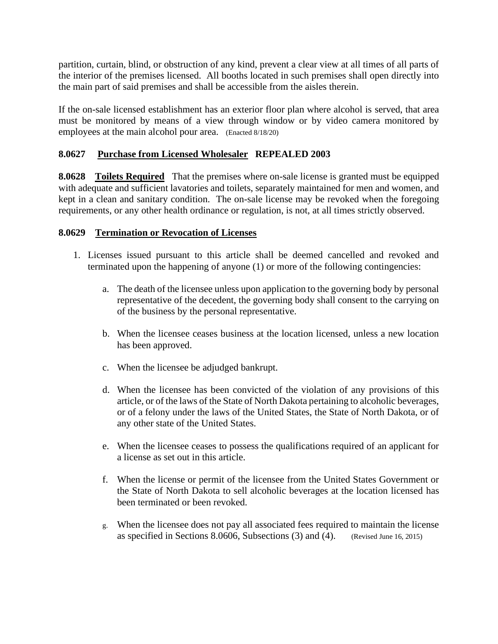partition, curtain, blind, or obstruction of any kind, prevent a clear view at all times of all parts of the interior of the premises licensed. All booths located in such premises shall open directly into the main part of said premises and shall be accessible from the aisles therein.

If the on-sale licensed establishment has an exterior floor plan where alcohol is served, that area must be monitored by means of a view through window or by video camera monitored by employees at the main alcohol pour area. (Enacted 8/18/20)

#### **8.0627 Purchase from Licensed Wholesaler REPEALED 2003**

**8.0628** Toilets **Required** That the premises where on-sale license is granted must be equipped with adequate and sufficient lavatories and toilets, separately maintained for men and women, and kept in a clean and sanitary condition. The on-sale license may be revoked when the foregoing requirements, or any other health ordinance or regulation, is not, at all times strictly observed.

#### **8.0629 Termination or Revocation of Licenses**

- 1. Licenses issued pursuant to this article shall be deemed cancelled and revoked and terminated upon the happening of anyone (1) or more of the following contingencies:
	- a. The death of the licensee unless upon application to the governing body by personal representative of the decedent, the governing body shall consent to the carrying on of the business by the personal representative.
	- b. When the licensee ceases business at the location licensed, unless a new location has been approved.
	- c. When the licensee be adjudged bankrupt.
	- d. When the licensee has been convicted of the violation of any provisions of this article, or of the laws of the State of North Dakota pertaining to alcoholic beverages, or of a felony under the laws of the United States, the State of North Dakota, or of any other state of the United States.
	- e. When the licensee ceases to possess the qualifications required of an applicant for a license as set out in this article.
	- f. When the license or permit of the licensee from the United States Government or the State of North Dakota to sell alcoholic beverages at the location licensed has been terminated or been revoked.
	- g. When the licensee does not pay all associated fees required to maintain the license as specified in Sections 8.0606, Subsections (3) and (4). (Revised June 16, 2015)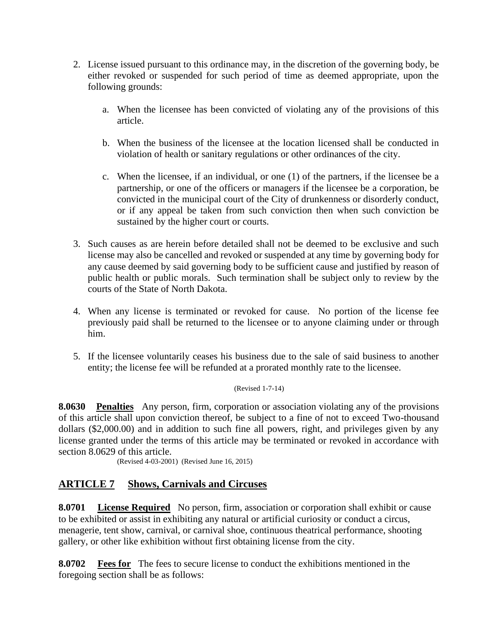- 2. License issued pursuant to this ordinance may, in the discretion of the governing body, be either revoked or suspended for such period of time as deemed appropriate, upon the following grounds:
	- a. When the licensee has been convicted of violating any of the provisions of this article.
	- b. When the business of the licensee at the location licensed shall be conducted in violation of health or sanitary regulations or other ordinances of the city.
	- c. When the licensee, if an individual, or one (1) of the partners, if the licensee be a partnership, or one of the officers or managers if the licensee be a corporation, be convicted in the municipal court of the City of drunkenness or disorderly conduct, or if any appeal be taken from such conviction then when such conviction be sustained by the higher court or courts.
- 3. Such causes as are herein before detailed shall not be deemed to be exclusive and such license may also be cancelled and revoked or suspended at any time by governing body for any cause deemed by said governing body to be sufficient cause and justified by reason of public health or public morals. Such termination shall be subject only to review by the courts of the State of North Dakota.
- 4. When any license is terminated or revoked for cause. No portion of the license fee previously paid shall be returned to the licensee or to anyone claiming under or through him.
- 5. If the licensee voluntarily ceases his business due to the sale of said business to another entity; the license fee will be refunded at a prorated monthly rate to the licensee.

(Revised 1-7-14)

**8.0630 Penalties** Any person, firm, corporation or association violating any of the provisions of this article shall upon conviction thereof, be subject to a fine of not to exceed Two-thousand dollars (\$2,000.00) and in addition to such fine all powers, right, and privileges given by any license granted under the terms of this article may be terminated or revoked in accordance with section 8.0629 of this article.

(Revised 4-03-2001) (Revised June 16, 2015)

## **ARTICLE 7 Shows, Carnivals and Circuses**

**8.0701 License Required** No person, firm, association or corporation shall exhibit or cause to be exhibited or assist in exhibiting any natural or artificial curiosity or conduct a circus, menagerie, tent show, carnival, or carnival shoe, continuous theatrical performance, shooting gallery, or other like exhibition without first obtaining license from the city.

**8.0702 Fees for** The fees to secure license to conduct the exhibitions mentioned in the foregoing section shall be as follows: